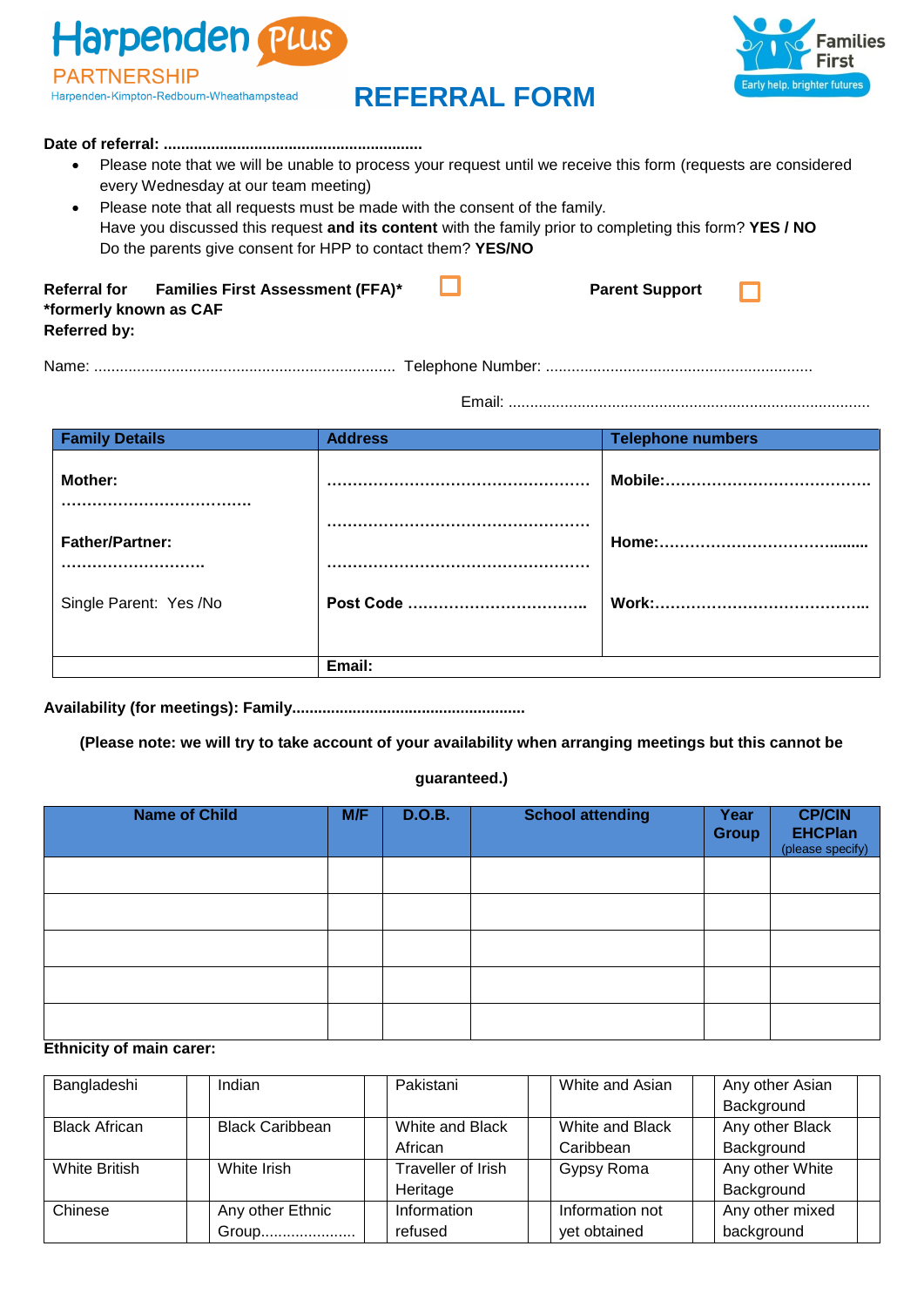Harpenden Plus **PARTNERSHIP** Harpenden-Kimpton-Redbourn-Wheathampstead

# **REFERRAL FORM**



#### **Date of referral: ............................................................**

- Please note that we will be unable to process your request until we receive this form (requests are considered every Wednesday at our team meeting)
- Please note that all requests must be made with the consent of the family. Have you discussed this request **and its content** with the family prior to completing this form? **YES / NO** Do the parents give consent for HPP to contact them? **YES/NO**

| Referral for           | <b>Families First Assessment (FFA)*</b> | <b>Parent Support</b> |  |
|------------------------|-----------------------------------------|-----------------------|--|
| *formerly known as CAF |                                         |                       |  |
| <b>Referred by:</b>    |                                         |                       |  |

Name: ...................................................................... Telephone Number: ..............................................................

Email: ....................................................................................

| <b>Family Details</b>      | <b>Address</b> | <b>Telephone numbers</b> |
|----------------------------|----------------|--------------------------|
| Mother:                    |                |                          |
| <b>Father/Partner:</b><br> |                |                          |
| Single Parent: Yes /No     |                |                          |
|                            |                |                          |
|                            | Email:         |                          |

**Availability (for meetings): Family......................................................**

**(Please note: we will try to take account of your availability when arranging meetings but this cannot be** 

### **guaranteed.)**

| <b>Name of Child</b> | M/F | <b>D.O.B.</b> | <b>School attending</b> | Year<br><b>Group</b> | <b>CP/CIN</b><br><b>EHCPlan</b><br>(please specify) |
|----------------------|-----|---------------|-------------------------|----------------------|-----------------------------------------------------|
|                      |     |               |                         |                      |                                                     |
|                      |     |               |                         |                      |                                                     |
|                      |     |               |                         |                      |                                                     |
|                      |     |               |                         |                      |                                                     |
|                      |     |               |                         |                      |                                                     |

## **Ethnicity of main carer:**

| Bangladeshi          | Indian                 | Pakistani          | White and Asian | Any other Asian |
|----------------------|------------------------|--------------------|-----------------|-----------------|
|                      |                        |                    |                 | Background      |
| <b>Black African</b> | <b>Black Caribbean</b> | White and Black    | White and Black | Any other Black |
|                      |                        | African            | Caribbean       | Background      |
| White British        | White Irish            | Traveller of Irish | Gypsy Roma      | Any other White |
|                      |                        | Heritage           |                 | Background      |
| Chinese              | Any other Ethnic       | Information        | Information not | Any other mixed |
|                      | Group                  | refused            | yet obtained    | background      |